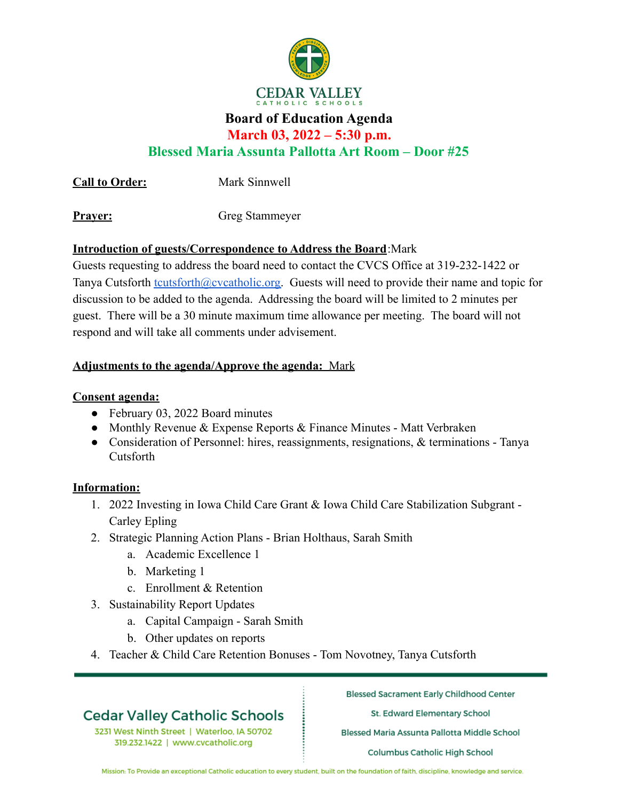

## **Board of Education Agenda**

**March 03, 2022 – 5:30 p.m.**

**Blessed Maria Assunta Pallotta Art Room – Door #25**

**Call to Order:** Mark Sinnwell

**Prayer:** Greg Stammeyer

## **Introduction of guests/Correspondence to Address the Board**:Mark

Guests requesting to address the board need to contact the CVCS Office at 319-232-1422 or Tanya Cutsforth [tcutsforth@cvcatholic.org.](mailto:tcutsforth@cvcatholic.org) Guests will need to provide their name and topic for discussion to be added to the agenda. Addressing the board will be limited to 2 minutes per guest. There will be a 30 minute maximum time allowance per meeting. The board will not respond and will take all comments under advisement.

## **Adjustments to the agenda/Approve the agenda:** Mark

## **Consent agenda:**

- February 03, 2022 Board minutes
- Monthly Revenue & Expense Reports & Finance Minutes Matt Verbraken
- Consideration of Personnel: hires, reassignments, resignations,  $\&$  terminations Tanya Cutsforth

#### **Information:**

- 1. 2022 Investing in Iowa Child Care Grant & Iowa Child Care Stabilization Subgrant Carley Epling
- 2. Strategic Planning Action Plans Brian Holthaus, Sarah Smith
	- a. Academic Excellence 1
	- b. Marketing 1
	- c. Enrollment & Retention
- 3. Sustainability Report Updates
	- a. Capital Campaign Sarah Smith
	- b. Other updates on reports
- 4. Teacher & Child Care Retention Bonuses Tom Novotney, Tanya Cutsforth

# **Cedar Valley Catholic Schools**

3231 West Ninth Street | Waterloo, IA 50702 319.232.1422 | www.cvcatholic.org

**Blessed Sacrament Early Childhood Center** 

St. Edward Elementary School

Blessed Maria Assunta Pallotta Middle School

**Columbus Catholic High School** 

Mission: To Provide an exceptional Catholic education to every student, built on the foundation of faith, discipline, knowledge and service.